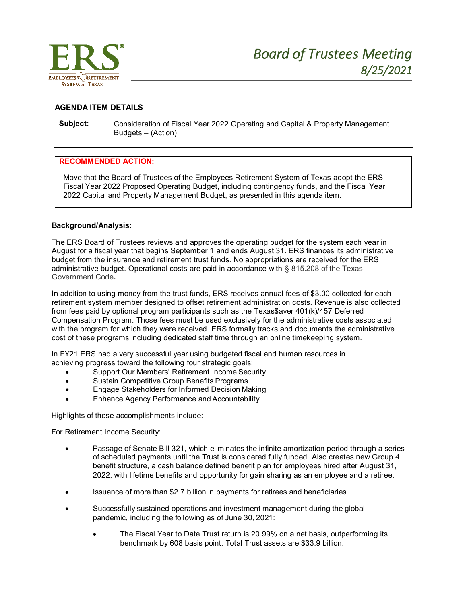

# **AGENDA ITEM DETAILS**

**Subject:** Consideration of Fiscal Year 2022 Operating and Capital & Property Management Budgets – (Action)

#### **RECOMMENDED ACTION:**

Move that the Board of Trustees of the Employees Retirement System of Texas adopt the ERS Fiscal Year 2022 Proposed Operating Budget, including contingency funds, and the Fiscal Year 2022 Capital and Property Management Budget, as presented in this agenda item.

#### **Background/Analysis:**

The ERS Board of Trustees reviews and approves the operating budget for the system each year in August for a fiscal year that begins September 1 and ends August 31. ERS finances its administrative budget from the insurance and retirement trust funds. No appropriations are received for the ERS administrative budget. Operational costs are paid in accordance with § 815.208 of the Texas Government Code**.**

In addition to using money from the trust funds, ERS receives annual fees of \$3.00 collected for each retirement system member designed to offset retirement administration costs. Revenue is also collected from fees paid by optional program participants such as the Texas\$aver 401(k)/457 Deferred Compensation Program. Those fees must be used exclusively for the administrative costs associated with the program for which they were received. ERS formally tracks and documents the administrative cost of these programs including dedicated staff time through an online timekeeping system.

In FY21 ERS had a very successful year using budgeted fiscal and human resources in achieving progress toward the following four strategic goals:

- Support Our Members' Retirement Income Security
- Sustain Competitive Group Benefits Programs
- Engage Stakeholders for Informed Decision Making
- Enhance Agency Performance and Accountability

Highlights of these accomplishments include:

For Retirement Income Security:

- Passage of Senate Bill 321, which eliminates the infinite amortization period through a series of scheduled payments until the Trust is considered fully funded. Also creates new Group 4 benefit structure, a cash balance defined benefit plan for employees hired after August 31, 2022, with lifetime benefits and opportunity for gain sharing as an employee and a retiree.
- Issuance of more than \$2.7 billion in payments for retirees and beneficiaries.
- Successfully sustained operations and investment management during the global pandemic, including the following as of June 30, 2021:
	- The Fiscal Year to Date Trust return is 20.99% on a net basis, outperforming its benchmark by 608 basis point. Total Trust assets are \$33.9 billion.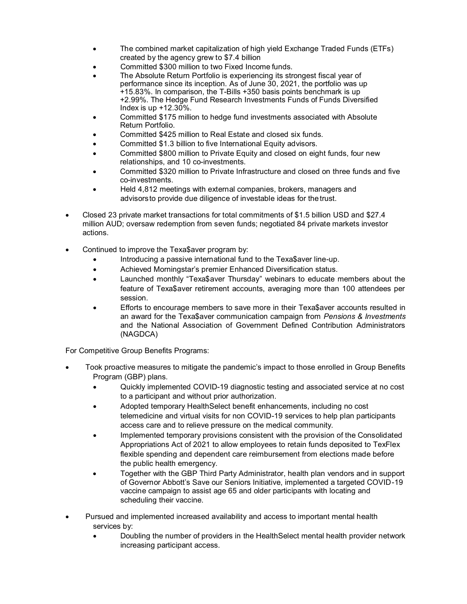- The combined market capitalization of high yield Exchange Traded Funds (ETFs) created by the agency grew to \$7.4 billion
- Committed \$300 million to two Fixed Income funds.
- The Absolute Return Portfolio is experiencing its strongest fiscal year of performance since its inception. As of June 30, 2021, the portfolio was up +15.83%. In comparison, the T-Bills +350 basis points benchmark is up +2.99%. The Hedge Fund Research Investments Funds of Funds Diversified Index is up +12.30%.
- Committed \$175 million to hedge fund investments associated with Absolute Return Portfolio.
- Committed \$425 million to Real Estate and closed six funds.
- Committed \$1.3 billion to five International Equity advisors.
- Committed \$800 million to Private Equity and closed on eight funds, four new relationships, and 10 co-investments.
- Committed \$320 million to Private Infrastructure and closed on three funds and five co-investments.
- Held 4,812 meetings with external companies, brokers, managers and advisorsto provide due diligence of investable ideas for thetrust.
- Closed 23 private market transactions for total commitments of \$1.5 billion USD and \$27.4 million AUD; oversaw redemption from seven funds; negotiated 84 private markets investor actions.
- Continued to improve the Texa\$aver program by:
	- Introducing a passive international fund to the Texa\$aver line-up.
	- Achieved Morningstar's premier Enhanced Diversification status.
	- Launched monthly "Texa\$aver Thursday" webinars to educate members about the feature of Texa\$aver retirement accounts, averaging more than 100 attendees per session.
	- Efforts to encourage members to save more in their Texa\$aver accounts resulted in an award for the Texa\$aver communication campaign from *Pensions & Investments* and the National Association of Government Defined Contribution Administrators (NAGDCA)

For Competitive Group Benefits Programs:

- Took proactive measures to mitigate the pandemic's impact to those enrolled in Group Benefits Program (GBP) plans.
	- Quickly implemented COVID-19 diagnostic testing and associated service at no cost to a participant and without prior authorization.
	- Adopted temporary HealthSelect benefit enhancements, including no cost telemedicine and virtual visits for non COVID-19 services to help plan participants access care and to relieve pressure on the medical community.
	- Implemented temporary provisions consistent with the provision of the Consolidated Appropriations Act of 2021 to allow employees to retain funds deposited to TexFlex flexible spending and dependent care reimbursement from elections made before the public health emergency.
	- Together with the GBP Third Party Administrator, health plan vendors and in support of Governor Abbott's Save our Seniors Initiative, implemented a targeted COVID-19 vaccine campaign to assist age 65 and older participants with locating and scheduling their vaccine.
- Pursued and implemented increased availability and access to important mental health services by:
	- Doubling the number of providers in the HealthSelect mental health provider network increasing participant access.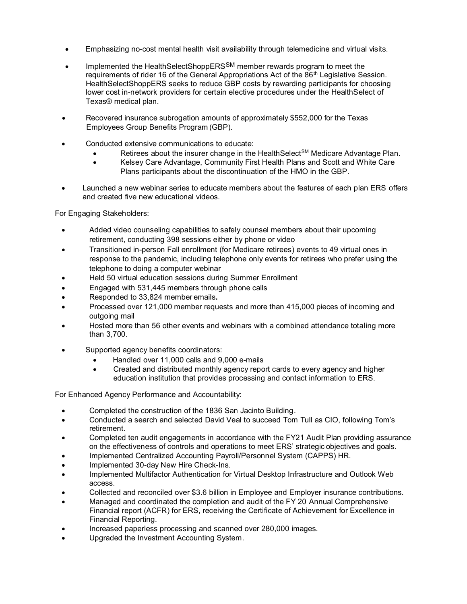- Emphasizing no-cost mental health visit availability through telemedicine and virtual visits.
- Implemented the HealthSelectShoppERSSM member rewards program to meet the requirements of rider 16 of the General Appropriations Act of the  $86<sup>th</sup>$  Legislative Session. HealthSelectShoppERS seeks to reduce GBP costs by rewarding participants for choosing lower cost in-network providers for certain elective procedures under the HealthSelect of Texas® medical plan.
- Recovered insurance subrogation amounts of approximately \$552,000 for the Texas Employees Group Benefits Program (GBP).
- Conducted extensive communications to educate:
	- Retirees about the insurer change in the HealthSelect<sup>SM</sup> Medicare Advantage Plan.
	- Kelsey Care Advantage, Community First Health Plans and Scott and White Care Plans participants about the discontinuation of the HMO in the GBP.
- Launched a new webinar series to educate members about the features of each plan ERS offers and created five new educational videos.

For Engaging Stakeholders:

- Added video counseling capabilities to safely counsel members about their upcoming retirement, conducting 398 sessions either by phone or video
- Transitioned in-person Fall enrollment (for Medicare retirees) events to 49 virtual ones in response to the pandemic, including telephone only events for retirees who prefer using the telephone to doing a computer webinar
- Held 50 virtual education sessions during Summer Enrollment
- Engaged with 531,445 members through phone calls
- Responded to 33,824 member emails**.**
- Processed over 121,000 member requests and more than 415,000 pieces of incoming and outgoing mail
- Hosted more than 56 other events and webinars with a combined attendance totaling more than 3,700.
- Supported agency benefits coordinators:
	- Handled over 11,000 calls and 9,000 e-mails
	- Created and distributed monthly agency report cards to every agency and higher education institution that provides processing and contact information to ERS.

For Enhanced Agency Performance and Accountability:

- Completed the construction of the 1836 San Jacinto Building.
- Conducted a search and selected David Veal to succeed Tom Tull as CIO, following Tom's retirement.
- Completed ten audit engagements in accordance with the FY21 Audit Plan providing assurance on the effectiveness of controls and operations to meet ERS' strategic objectives and goals.
- Implemented Centralized Accounting Payroll/Personnel System (CAPPS) HR.
- Implemented 30-day New Hire Check-Ins.
- Implemented Multifactor Authentication for Virtual Desktop Infrastructure and Outlook Web access.
- Collected and reconciled over \$3.6 billion in Employee and Employer insurance contributions.
- Managed and coordinated the completion and audit of the FY 20 Annual Comprehensive Financial report (ACFR) for ERS, receiving the Certificate of Achievement for Excellence in Financial Reporting.
- Increased paperless processing and scanned over 280,000 images.
- Upgraded the Investment Accounting System.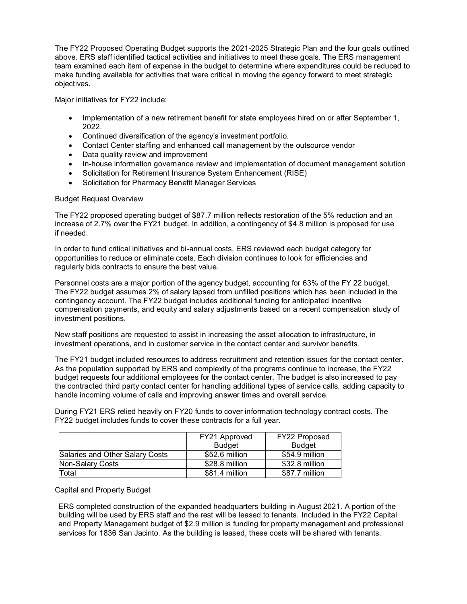The FY22 Proposed Operating Budget supports the 2021-2025 Strategic Plan and the four goals outlined above. ERS staff identified tactical activities and initiatives to meet these goals. The ERS management team examined each item of expense in the budget to determine where expenditures could be reduced to make funding available for activities that were critical in moving the agency forward to meet strategic objectives.

Major initiatives for FY22 include:

- Implementation of a new retirement benefit for state employees hired on or after September 1, 2022.
- Continued diversification of the agency's investment portfolio.
- Contact Center staffing and enhanced call management by the outsource vendor
- Data quality review and improvement
- In-house information governance review and implementation of document management solution
- Solicitation for Retirement Insurance System Enhancement (RISE)
- Solicitation for Pharmacy Benefit Manager Services

### Budget Request Overview

The FY22 proposed operating budget of \$87.7 million reflects restoration of the 5% reduction and an increase of 2.7% over the FY21 budget. In addition, a contingency of \$4.8 million is proposed for use if needed.

In order to fund critical initiatives and bi-annual costs, ERS reviewed each budget category for opportunities to reduce or eliminate costs. Each division continues to look for efficiencies and regularly bids contracts to ensure the best value.

Personnel costs are a major portion of the agency budget, accounting for 63% of the FY 22 budget. The FY22 budget assumes 2% of salary lapsed from unfilled positions which has been included in the contingency account. The FY22 budget includes additional funding for anticipated incentive compensation payments, and equity and salary adjustments based on a recent compensation study of investment positions.

New staff positions are requested to assist in increasing the asset allocation to infrastructure, in investment operations, and in customer service in the contact center and survivor benefits.

The FY21 budget included resources to address recruitment and retention issues for the contact center. As the population supported by ERS and complexity of the programs continue to increase, the FY22 budget requests four additional employees for the contact center. The budget is also increased to pay the contracted third party contact center for handling additional types of service calls, adding capacity to handle incoming volume of calls and improving answer times and overall service.

During FY21 ERS relied heavily on FY20 funds to cover information technology contract costs. The FY22 budget includes funds to cover these contracts for a full year.

|                                 | FY21 Approved  | FY22 Proposed  |
|---------------------------------|----------------|----------------|
|                                 | <b>Budget</b>  | <b>Budget</b>  |
| Salaries and Other Salary Costs | \$52.6 million | \$54.9 million |
| Non-Salary Costs                | \$28.8 million | \$32.8 million |
| Total                           | \$81.4 million | \$87.7 million |

### Capital and Property Budget

ERS completed construction of the expanded headquarters building in August 2021. A portion of the building will be used by ERS staff and the rest will be leased to tenants. Included in the FY22 Capital and Property Management budget of \$2.9 million is funding for property management and professional services for 1836 San Jacinto. As the building is leased, these costs will be shared with tenants.